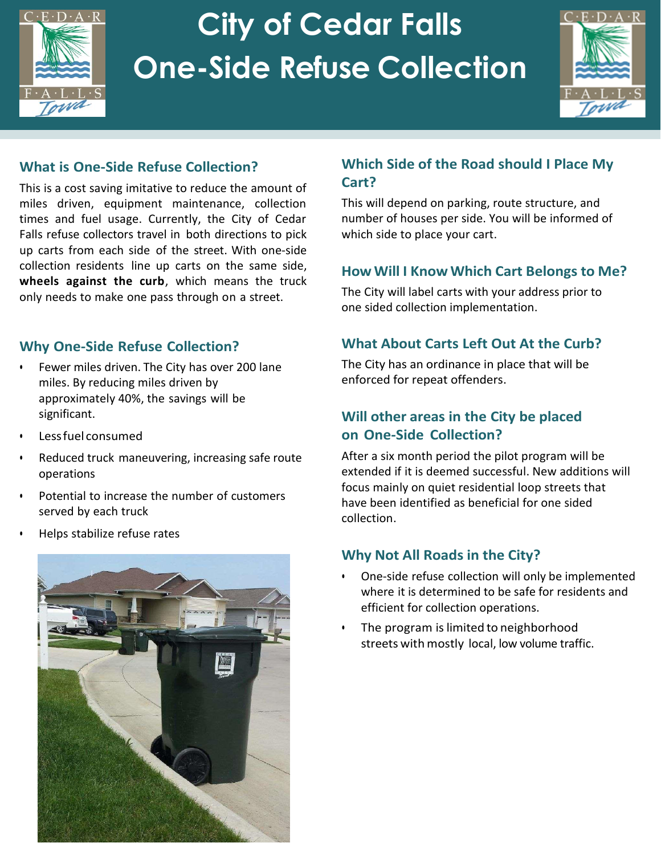

# **City of Cedar Falls One-Side Refuse Collection**



#### **What is One-Side Refuse Collection?**

This is a cost saving imitative to reduce the amount of miles driven, equipment maintenance, collection times and fuel usage. Currently, the City of Cedar Falls refuse collectors travel in both directions to pick up carts from each side of the street. With one-side collection residents line up carts on the same side, **wheels against the curb**, which means the truck only needs to make one pass through on a street.

#### **Why One-Side Refuse Collection?**

- Fewer miles driven. The City has over 200 lane miles. By reducing miles driven by approximately 40%, the savings will be significant.
- Less fuel consumed
- Reduced truck maneuvering, increasing safe route operations
- Potential to increase the number of customers served by each truck
- Helps stabilize refuse rates



#### **Which Side of the Road should I Place My Cart?**

This will depend on parking, route structure, and number of houses per side. You will be informed of which side to place your cart.

#### **How Will I Know Which Cart Belongs to Me?**

The City will label carts with your address prior to one sided collection implementation.

#### **What About Carts Left Out At the Curb?**

The City has an ordinance in place that will be enforced for repeat offenders.

#### **Will other areas in the City be placed on One-Side Collection?**

After a six month period the pilot program will be extended if it is deemed successful. New additions will focus mainly on quiet residential loop streets that have been identified as beneficial for one sided collection.

#### **Why Not All Roads in the City?**

- One-side refuse collection will only be implemented where it is determined to be safe for residents and efficient for collection operations.
- The program is limited to neighborhood streets with mostly local, low volume traffic.